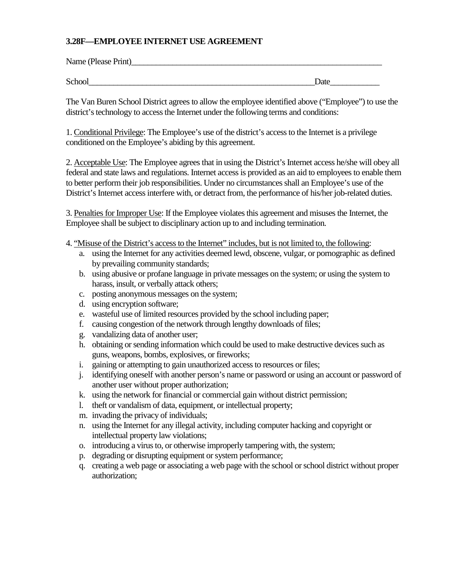## **3.28F—EMPLOYEE INTERNET USE AGREEMENT**

| Name (Please Print) |      |
|---------------------|------|
|                     |      |
| School              | Date |

The Van Buren School District agrees to allow the employee identified above ("Employee") to use the district's technology to access the Internet under the following terms and conditions:

1. Conditional Privilege: The Employee's use of the district's access to the Internet is a privilege conditioned on the Employee's abiding by this agreement.

2. Acceptable Use: The Employee agrees that in using the District's Internet access he/she will obey all federal and state laws and regulations. Internet access is provided as an aid to employees to enable them to better perform their job responsibilities. Under no circumstances shall an Employee's use of the District's Internet access interfere with, or detract from, the performance of his/her job-related duties.

3. Penalties for Improper Use: If the Employee violates this agreement and misuses the Internet, the Employee shall be subject to disciplinary action up to and including termination.

- 4. "Misuse of the District's access to the Internet" includes, but is not limited to, the following:
	- a. using the Internet for any activities deemed lewd, obscene, vulgar, or pornographic as defined by prevailing community standards;
	- b. using abusive or profane language in private messages on the system; or using the system to harass, insult, or verbally attack others;
	- c. posting anonymous messages on the system;
	- d. using encryption software;
	- e. wasteful use of limited resources provided by the school including paper;
	- f. causing congestion of the network through lengthy downloads of files;
	- g. vandalizing data of another user;
	- h. obtaining or sending information which could be used to make destructive devices such as guns, weapons, bombs, explosives, or fireworks;
	- i. gaining or attempting to gain unauthorized access to resources or files;
	- j. identifying oneself with another person's name or password or using an account or password of another user without proper authorization;
	- k. using the network for financial or commercial gain without district permission;
	- l. theft or vandalism of data, equipment, or intellectual property;
	- m. invading the privacy of individuals;
	- n. using the Internet for any illegal activity, including computer hacking and copyright or intellectual property law violations;
	- o. introducing a virus to, or otherwise improperly tampering with, the system;
	- p. degrading or disrupting equipment or system performance;
	- q. creating a web page or associating a web page with the school or school district without proper authorization;